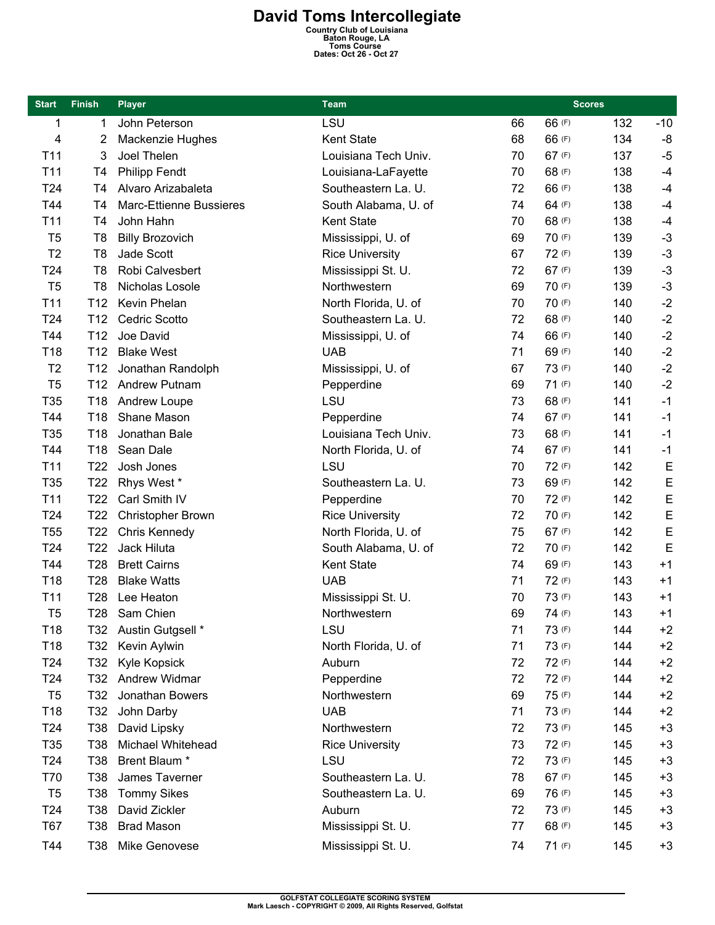## **David Toms Intercollegiate**<br>
Country Club of Louisiana<br>
Baton Rouge, LA<br>
Toms Course<br>
Dates: Oct 26 - Oct 27

| <b>Start</b>    | <b>Finish</b>   | <b>Player</b>                  | <b>Team</b>            |    | <b>Scores</b> |     |             |
|-----------------|-----------------|--------------------------------|------------------------|----|---------------|-----|-------------|
| 1               | 1               | John Peterson                  | LSU                    | 66 | 66 (F)        | 132 | $-10$       |
| 4               | 2               | Mackenzie Hughes               | Kent State             | 68 | 66 (F)        | 134 | -8          |
| T <sub>11</sub> | 3               | Joel Thelen                    | Louisiana Tech Univ.   | 70 | 67 (F)        | 137 | $-5$        |
| T11             | T <sub>4</sub>  | <b>Philipp Fendt</b>           | Louisiana-LaFayette    | 70 | 68 (F)        | 138 | $-4$        |
| T <sub>24</sub> | T4              | Alvaro Arizabaleta             | Southeastern La. U.    | 72 | 66 (F)        | 138 | $-4$        |
| T44             | T <sub>4</sub>  | <b>Marc-Ettienne Bussieres</b> | South Alabama, U. of   | 74 | 64 (F)        | 138 | $-4$        |
| T11             | T4              | John Hahn                      | Kent State             | 70 | 68 (F)        | 138 | $-4$        |
| T <sub>5</sub>  | T <sub>8</sub>  | <b>Billy Brozovich</b>         | Mississippi, U. of     | 69 | 70 (F)        | 139 | $-3$        |
| T <sub>2</sub>  | T <sub>8</sub>  | Jade Scott                     | <b>Rice University</b> | 67 | 72 (F)        | 139 | $-3$        |
| T24             | T <sub>8</sub>  | Robi Calvesbert                | Mississippi St. U.     | 72 | 67 (F)        | 139 | $-3$        |
| T <sub>5</sub>  | T <sub>8</sub>  | Nicholas Losole                | Northwestern           | 69 | 70 (F)        | 139 | $-3$        |
| T11             | T <sub>12</sub> | Kevin Phelan                   | North Florida, U. of   | 70 | 70 (F)        | 140 | $-2$        |
| T24             | T <sub>12</sub> | <b>Cedric Scotto</b>           | Southeastern La. U.    | 72 | 68 (F)        | 140 | $-2$        |
| T44             | T <sub>12</sub> | Joe David                      | Mississippi, U. of     | 74 | 66 (F)        | 140 | $-2$        |
| T18             | T <sub>12</sub> | <b>Blake West</b>              | <b>UAB</b>             | 71 | 69 (F)        | 140 | $-2$        |
| T <sub>2</sub>  | T <sub>12</sub> | Jonathan Randolph              | Mississippi, U. of     | 67 | 73 (F)        | 140 | $-2$        |
| T <sub>5</sub>  | T <sub>12</sub> | <b>Andrew Putnam</b>           | Pepperdine             | 69 | 71(F)         | 140 | $-2$        |
| T35             | T18             | Andrew Loupe                   | LSU                    | 73 | 68 (F)        | 141 | $-1$        |
| T44             | T <sub>18</sub> | Shane Mason                    | Pepperdine             | 74 | 67 (F)        | 141 | $-1$        |
| T35             | T18             | Jonathan Bale                  | Louisiana Tech Univ.   | 73 | 68 (F)        | 141 | $-1$        |
| T44             | T18             | Sean Dale                      | North Florida, U. of   | 74 | 67 (F)        | 141 | $-1$        |
| T11             | T <sub>22</sub> | Josh Jones                     | LSU                    | 70 | 72 (F)        | 142 | $\mathsf E$ |
| T35             | T <sub>22</sub> | Rhys West *                    | Southeastern La. U.    | 73 | 69 (F)        | 142 | $\mathsf E$ |
| T <sub>11</sub> | T22             | Carl Smith IV                  | Pepperdine             | 70 | 72 (F)        | 142 | $\mathsf E$ |
| T24             | T <sub>22</sub> | <b>Christopher Brown</b>       | <b>Rice University</b> | 72 | 70 (F)        | 142 | $\mathsf E$ |
| <b>T55</b>      | T <sub>22</sub> | Chris Kennedy                  | North Florida, U. of   | 75 | 67 (F)        | 142 | E           |
| T <sub>24</sub> | T <sub>22</sub> | Jack Hiluta                    | South Alabama, U. of   | 72 | 70 (F)        | 142 | E           |
| T44             | T <sub>28</sub> | <b>Brett Cairns</b>            | Kent State             | 74 | 69 (F)        | 143 | $+1$        |
| T18             | T <sub>28</sub> | <b>Blake Watts</b>             | <b>UAB</b>             | 71 | 72 (F)        | 143 | $+1$        |
| T11             | T <sub>28</sub> | Lee Heaton                     | Mississippi St. U.     | 70 | 73 (F)        | 143 | $+1$        |
| T <sub>5</sub>  | <b>T28</b>      | Sam Chien                      | Northwestern           | 69 | 74 (F)        | 143 | $+1$        |
| T18             | T32             | Austin Gutgsell *              | LSU                    | 71 | 73 (F)        | 144 | $+2$        |
| T18             | T32             | Kevin Aylwin                   | North Florida, U. of   | 71 | 73 (F)        | 144 | $+2$        |
| T <sub>24</sub> | T32             | Kyle Kopsick                   | Auburn                 | 72 | 72 (F)        | 144 | $+2$        |
| T <sub>24</sub> | T32             | Andrew Widmar                  | Pepperdine             | 72 | 72 (F)        | 144 | $+2$        |
| T <sub>5</sub>  | T32             | Jonathan Bowers                | Northwestern           | 69 | 75 (F)        | 144 | $+2$        |
| T18             | T32             | John Darby                     | <b>UAB</b>             | 71 | 73 (F)        | 144 | $+2$        |
| T <sub>24</sub> | T38             | David Lipsky                   | Northwestern           | 72 | 73 (F)        | 145 | $+3$        |
| T <sub>35</sub> | T38             | Michael Whitehead              | <b>Rice University</b> | 73 | 72 (F)        | 145 | $+3$        |
| T <sub>24</sub> | T38             | Brent Blaum *                  | LSU                    | 72 | 73 (F)        | 145 | $+3$        |
| T70             | T38             | James Taverner                 | Southeastern La. U.    | 78 | 67 (F)        | 145 | $+3$        |
| T <sub>5</sub>  | T38             | <b>Tommy Sikes</b>             | Southeastern La. U.    | 69 | 76 (F)        | 145 | $+3$        |
| T <sub>24</sub> | T38             | David Zickler                  | Auburn                 | 72 | 73 (F)        | 145 | $+3$        |
| <b>T67</b>      | T38             | <b>Brad Mason</b>              | Mississippi St. U.     | 77 | 68 (F)        | 145 | $+3$        |
| T44             | T38             | Mike Genovese                  | Mississippi St. U.     | 74 | 71(F)         | 145 | $+3$        |
|                 |                 |                                |                        |    |               |     |             |